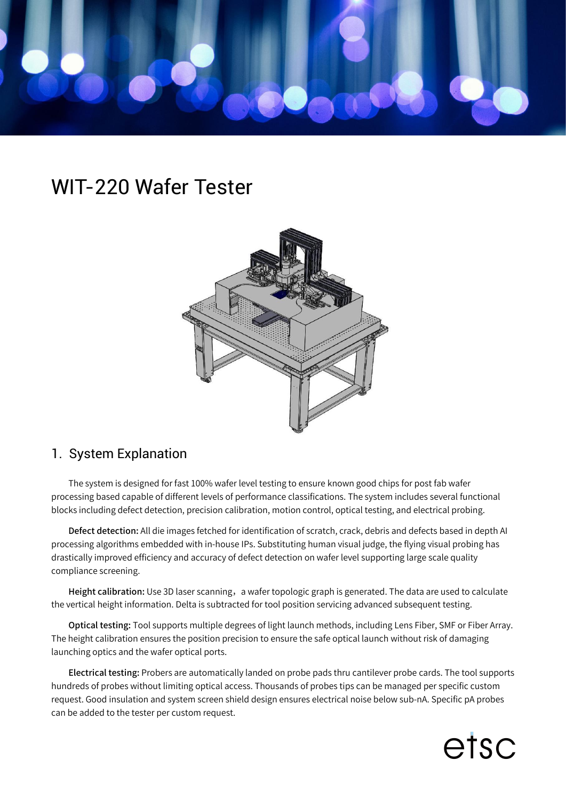

## WIT-220 Wafer Tester



## 1. System Explanation

The system is designed for fast 100% wafer level testing to ensure known good chips for post fab wafer processing based capable of different levels of performance classifications. The system includes several functional blocks including defect detection, precision calibration, motion control, optical testing, and electrical probing.

Defect detection: All die images fetched for identification of scratch, crack, debris and defects based in depth AI processing algorithms embedded with in-house IPs. Substituting human visual judge, the flying visual probing has drastically improved efficiency and accuracy of defect detection on wafer level supporting large scale quality compliance screening.

Height calibration: Use 3D laser scanning, a wafer topologic graph is generated. The data are used to calculate the vertical height information. Delta is subtracted for tool position servicing advanced subsequent testing.

Optical testing: Tool supports multiple degrees of light launch methods, including Lens Fiber, SMF or Fiber Array. The height calibration ensures the position precision to ensure the safe optical launch without risk of damaging launching optics and the wafer optical ports.

Electrical testing: Probers are automatically landed on probe pads thru cantilever probe cards. The tool supports hundreds of probes without limiting optical access. Thousands of probes tips can be managed per specific custom request. Good insulation and system screen shield design ensures electrical noise below sub-nA. Specific pA probes can be added to the tester per custom request.